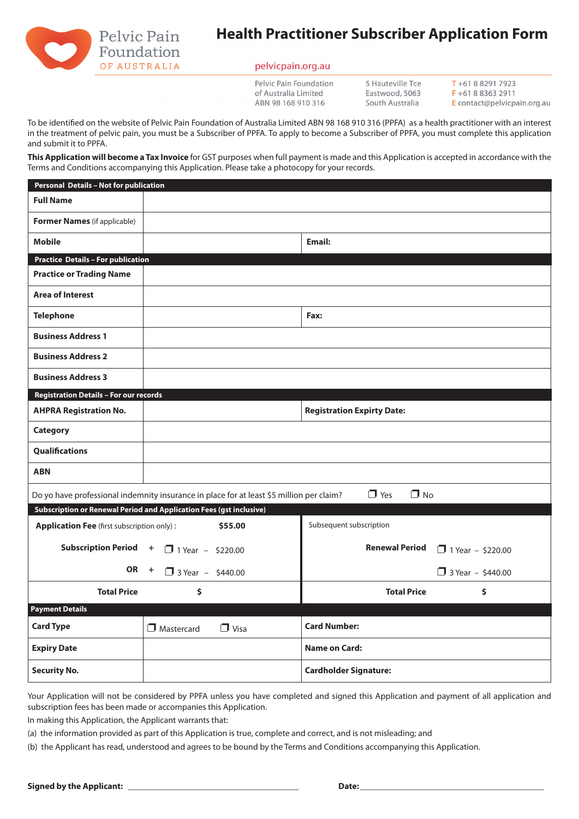

# **Health Practitioner Subscriber Application Form**

## pelvicpain.org.au

Pelvic Pain Foundation of Australia Limited ABN 98 168 910 316

5 Hauteville Tce Eastwood, 5063 South Australia

 $T + 61882917923$  $F + 61883632911$ E contact@pelvicpain.org.au

To be identifed on the website of Pelvic Pain Foundation of Australia Limited ABN 98 168 910 316 (PPFA) as a health practitioner with an interest in the treatment of pelvic pain, you must be a Subscriber of PPFA. To apply to become a Subscriber of PPFA, you must complete this application and submit it to PPFA.

**This Application will become a Tax Invoice** for GST purposes when full payment is made and this Application is accepted in accordance with the Terms and Conditions accompanying this Application. Please take a photocopy for your records.

| Personal Details - Not for publication                                                                              |                                       |                                   |                          |
|---------------------------------------------------------------------------------------------------------------------|---------------------------------------|-----------------------------------|--------------------------|
| <b>Full Name</b>                                                                                                    |                                       |                                   |                          |
| <b>Former Names</b> (if applicable)                                                                                 |                                       |                                   |                          |
| <b>Mobile</b>                                                                                                       |                                       | Email:                            |                          |
| <b>Practice Details - For publication</b>                                                                           |                                       |                                   |                          |
| <b>Practice or Trading Name</b>                                                                                     |                                       |                                   |                          |
| <b>Area of Interest</b>                                                                                             |                                       |                                   |                          |
| <b>Telephone</b>                                                                                                    |                                       | Fax:                              |                          |
| <b>Business Address 1</b>                                                                                           |                                       |                                   |                          |
| <b>Business Address 2</b>                                                                                           |                                       |                                   |                          |
| <b>Business Address 3</b>                                                                                           |                                       |                                   |                          |
| <b>Registration Details - For our records</b>                                                                       |                                       |                                   |                          |
| <b>AHPRA Registration No.</b>                                                                                       |                                       | <b>Registration Expirty Date:</b> |                          |
| <b>Category</b>                                                                                                     |                                       |                                   |                          |
| <b>Qualifications</b>                                                                                               |                                       |                                   |                          |
| <b>ABN</b>                                                                                                          |                                       |                                   |                          |
| $\Box$ No<br>$\Box$ Yes<br>Do yo have professional indemnity insurance in place for at least \$5 million per claim? |                                       |                                   |                          |
| Subscription or Renewal Period and Application Fees (gst inclusive)                                                 |                                       |                                   |                          |
| <b>Application Fee</b> (first subscription only):<br>\$55.00                                                        |                                       | Subsequent subscription           |                          |
| <b>Subscription Period</b>                                                                                          | $\ddot{}$<br>1 Year - \$220.00        | <b>Renewal Period</b>             | $1$ Year - \$220.00      |
| <b>OR</b>                                                                                                           | $\ddot{}$<br>$\Box$ 3 Year - \$440.00 |                                   | $\Box$ 3 Year - \$440.00 |
| <b>Total Price</b>                                                                                                  | \$                                    | <b>Total Price</b>                | \$                       |
| <b>Payment Details</b>                                                                                              |                                       |                                   |                          |
| <b>Card Type</b>                                                                                                    | Mastercard<br>$\Box$ Visa             | <b>Card Number:</b>               |                          |
| <b>Expiry Date</b>                                                                                                  |                                       | <b>Name on Card:</b>              |                          |
| <b>Security No.</b>                                                                                                 |                                       | <b>Cardholder Signature:</b>      |                          |

Your Application will not be considered by PPFA unless you have completed and signed this Application and payment of all application and subscription fees has been made or accompanies this Application.

In making this Application, the Applicant warrants that:

(a) the information provided as part of this Application is true, complete and correct, and is not misleading; and

(b) the Applicant has read, understood and agrees to be bound by the Terms and Conditions accompanying this Application.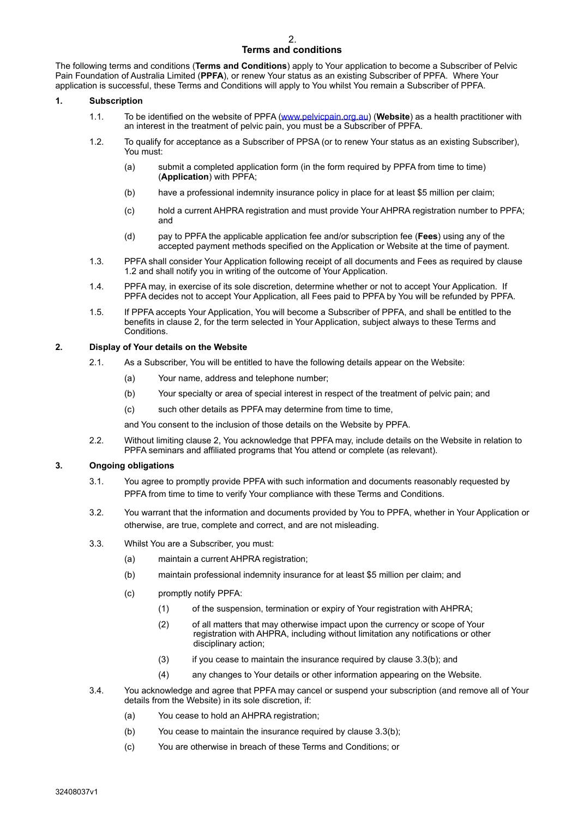## 2. **Terms and conditions**

The following terms and conditions (**Terms and Conditions**) apply to Your application to become a Subscriber of Pelvic Pain Foundation of Australia Limited (**PPFA**), or renew Your status as an existing Subscriber of PPFA. Where Your application is successful, these Terms and Conditions will apply to You whilst You remain a Subscriber of PPFA.

## **1. Subscription**

- 1.1. To be identified on the website of PPFA [\(www.pelvicpain.org.au](http://www.pelvicpain.org.au)) (**Website**) as a health practitioner with an interest in the treatment of pelvic pain, you must be a Subscriber of PPFA.
- 1.2. To qualify for acceptance as a Subscriber of PPSA (or to renew Your status as an existing Subscriber), You must:
	- (a) submit a completed application form (in the form required by PPFA from time to time) (**Application**) with PPFA;
	- (b) have a professional indemnity insurance policy in place for at least \$5 million per claim;
	- (c) hold a current AHPRA registration and must provide Your AHPRA registration number to PPFA; and
	- (d) pay to PPFA the applicable application fee and/or subscription fee (**Fees**) using any of the accepted payment methods specified on the Application or Website at the time of payment.
- 1.3. PPFA shall consider Your Application following receipt of all documents and Fees as required by clause 1.2 and shall notify you in writing of the outcome of Your Application.
- 1.4. PPFA may, in exercise of its sole discretion, determine whether or not to accept Your Application. If PPFA decides not to accept Your Application, all Fees paid to PPFA by You will be refunded by PPFA.
- 1.5. If PPFA accepts Your Application, You will become a Subscriber of PPFA, and shall be entitled to the benefits in clause 2, for the term selected in Your Application, subject always to these Terms and **Conditions**

## **2. Display of Your details on the Website**

- 2.1. As a Subscriber, You will be entitled to have the following details appear on the Website:
	- (a) Your name, address and telephone number;
	- (b) Your specialty or area of special interest in respect of the treatment of pelvic pain; and
	- (c) such other details as PPFA may determine from time to time,
	- and You consent to the inclusion of those details on the Website by PPFA.
- 2.2. Without limiting clause 2, You acknowledge that PPFA may, include details on the Website in relation to PPFA seminars and affiliated programs that You attend or complete (as relevant).

## **3. Ongoing obligations**

- 3.1. You agree to promptly provide PPFA with such information and documents reasonably requested by PPFA from time to time to verify Your compliance with these Terms and Conditions.
- 3.2. You warrant that the information and documents provided by You to PPFA, whether in Your Application or otherwise, are true, complete and correct, and are not misleading.
- 3.3. Whilst You are a Subscriber, you must:
	- (a) maintain a current AHPRA registration;
	- (b) maintain professional indemnity insurance for at least \$5 million per claim; and
	- (c) promptly notify PPFA:
		- (1) of the suspension, termination or expiry of Your registration with AHPRA;
		- (2) of all matters that may otherwise impact upon the currency or scope of Your registration with AHPRA, including without limitation any notifications or other disciplinary action;
		- $(3)$  if you cease to maintain the insurance required by clause 3.3(b); and
		- (4) any changes to Your details or other information appearing on the Website.
- 3.4. You acknowledge and agree that PPFA may cancel or suspend your subscription (and remove all of Your details from the Website) in its sole discretion, if:
	- (a) You cease to hold an AHPRA registration;
	- (b) You cease to maintain the insurance required by clause 3.3(b);
	- (c) You are otherwise in breach of these Terms and Conditions; or